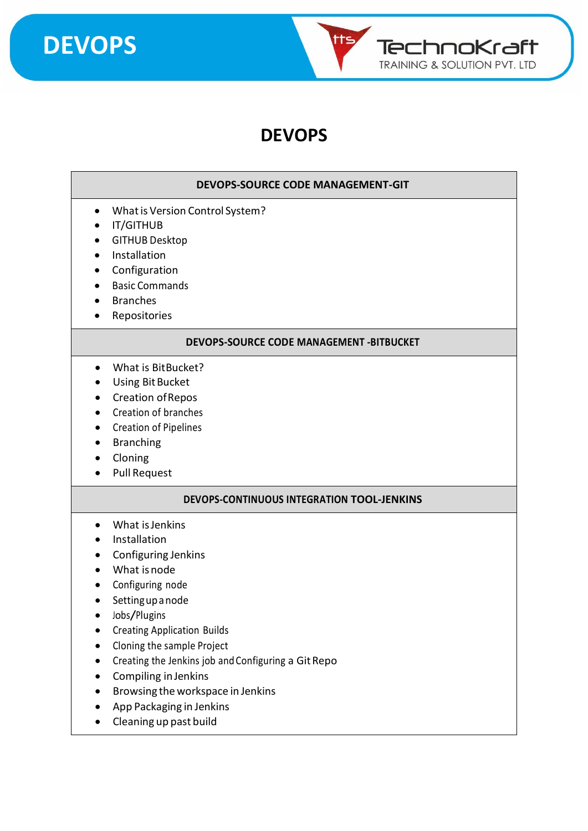**DEVOPS**



### **DEVOPS**

#### **DEVOPS-SOURCE CODE MANAGEMENT-GIT**

- What is Version Control System?
- IT/GITHUB
- GITHUB Desktop
- Installation
- Configuration
- Basic Commands
- Branches
- **Repositories**

#### **DEVOPS-SOURCE CODE MANAGEMENT -BITBUCKET**

- What is BitBucket?
- Using Bit Bucket
- Creation ofRepos
- Creation of branches
- Creation of Pipelines
- Branching
- Cloning
- Pull Request

#### **DEVOPS-CONTINUOUS INTEGRATION TOOL-JENKINS**

- What isJenkins
- Installation
- Configuring Jenkins
- What isnode
- Configuring node
- Settingupanode
- Jobs/Plugins
- Creating Application Builds
- Cloning the sample Project
- Creating the Jenkins job andConfiguring a GitRepo
- Compiling inJenkins
- Browsing theworkspace in Jenkins
- App Packaging in Jenkins
- Cleaning up past build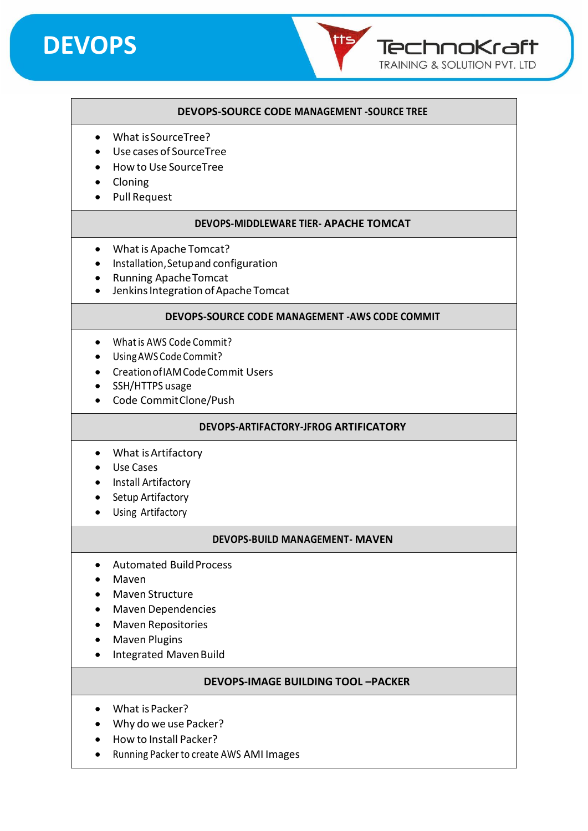

#### **DEVOPS-SOURCE CODE MANAGEMENT -SOURCE TREE**

TechnoKraft **TRAINING & SOLUTION PVT. LTD** 

- What isSourceTree?
- Use cases of SourceTree
- How to Use SourceTree
- Cloning
- Pull Request

#### **DEVOPS-MIDDLEWARE TIER- APACHE TOMCAT**

- What is Apache Tomcat?
- Installation,Setupand configuration
- Running ApacheTomcat
- JenkinsIntegration ofApache Tomcat

#### **DEVOPS-SOURCE CODE MANAGEMENT -AWS CODE COMMIT**

- What is AWS Code Commit?
- UsingAWS Code Commit?
- CreationofIAMCodeCommit Users
- SSH/HTTPS usage
- Code CommitClone/Push

#### **DEVOPS-ARTIFACTORY-JFROG ARTIFICATORY**

- What isArtifactory
- Use Cases
- Install Artifactory
- Setup Artifactory
- Using Artifactory

#### **DEVOPS-BUILD MANAGEMENT- MAVEN**

- Automated BuildProcess
- Maven
- Maven Structure
- Maven Dependencies
- Maven Repositories
- Maven Plugins
- Integrated Maven Build

#### **DEVOPS-IMAGE BUILDING TOOL –PACKER**

- What isPacker?
- Why do we use Packer?
- How to Install Packer?
- Running Packerto create AWS AMI Images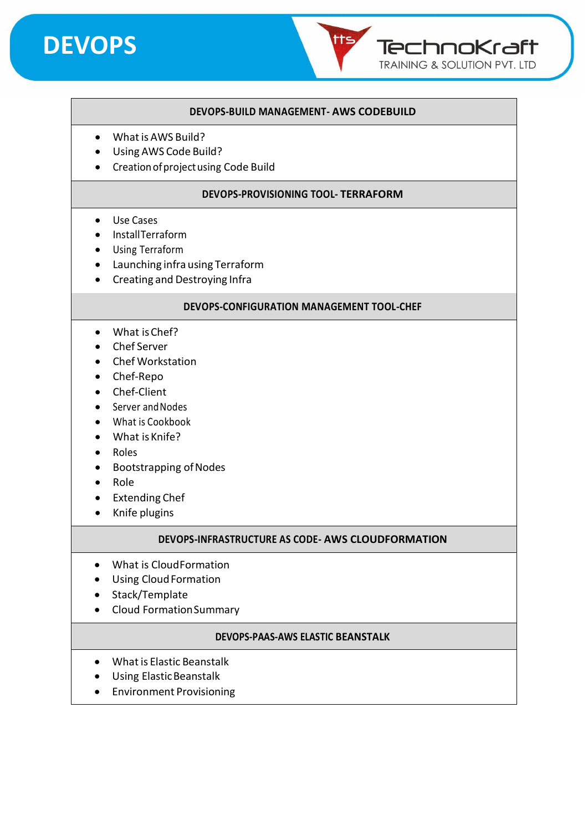

#### **DEVOPS-BUILD MANAGEMENT- AWS CODEBUILD**

TechnoKraft **TRAINING & SOLUTION PVT. LTD** 

- What is AWS Build?
- Using AWS Code Build?
- Creation of project using Code Build

#### **DEVOPS-PROVISIONING TOOL- TERRAFORM**

- Use Cases
- InstallTerraform
- Using Terraform
- Launching infra using Terraform
- Creating and Destroying Infra

#### **DEVOPS-CONFIGURATION MANAGEMENT TOOL-CHEF**

- What isChef?
- Chef Server
- Chef Workstation
- Chef-Repo
- Chef-Client
- Server and Nodes
- What is Cookbook
- What isKnife?
- Roles
- **Bootstrapping of Nodes**
- Role
- Extending Chef
- Knife plugins

#### **DEVOPS-INFRASTRUCTURE AS CODE- AWS CLOUDFORMATION**

- What is CloudFormation
- Using CloudFormation
- Stack/Template
- Cloud FormationSummary

#### **DEVOPS-PAAS-AWS ELASTIC BEANSTALK**

- What is Elastic Beanstalk
- Using ElasticBeanstalk
- Environment Provisioning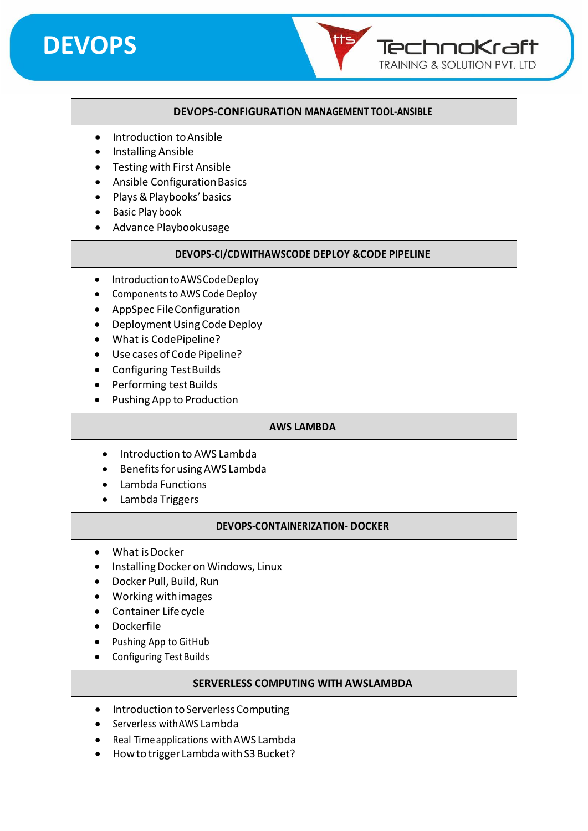

#### **DEVOPS-CONFIGURATION MANAGEMENT TOOL-ANSIBLE**

TechnoKraft **TRAINING & SOLUTION PVT. LTD** 

- Introduction toAnsible
- Installing Ansible
- Testing with First Ansible
- Ansible Configuration Basics
- Plays&Playbooks' basics
- Basic Play book
- Advance Playbookusage

#### **DEVOPS-CI/CDWITHAWSCODE DEPLOY &CODE PIPELINE**

- IntroductiontoAWSCodeDeploy
- Components to AWS Code Deploy
- AppSpec FileConfiguration
- Deployment Using Code Deploy
- What is CodePipeline?
- Use cases of Code Pipeline?
- Configuring Test Builds
- Performing test Builds
- Pushing App to Production

#### **AWS LAMBDA**

- Introduction to AWS Lambda
- Benefits for using AWS Lambda
- Lambda Functions
- Lambda Triggers

#### **DEVOPS-CONTAINERIZATION- DOCKER**

- What is Docker
- Installing Docker on Windows, Linux
- Docker Pull, Build, Run
- Working withimages
- Container Lifecycle
- Dockerfile
- Pushing App to GitHub
- Configuring TestBuilds

#### **SERVERLESS COMPUTING WITH AWSLAMBDA**

- Introduction to Serverless Computing
- Serverless withAWS Lambda
- Real Timeapplications withAWS Lambda
- Howto trigger LambdawithS3Bucket?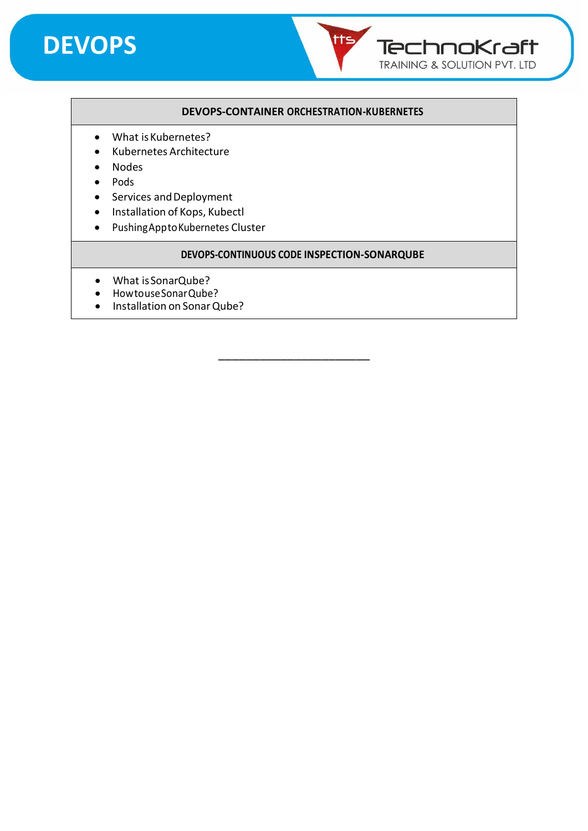

#### **DEVOPS-CONTAINER ORCHESTRATION-KUBERNETES**

tts

TechnoKraft TRAINING & SOLUTION PVT. LTD

- What is Kubernetes?
- Kubernetes Architecture
- Nodes
- Pods
- Services and Deployment
- Installation of Kops, Kubectl
- PushingApptoKubernetes Cluster

#### **DEVOPS-CONTINUOUS CODE INSPECTION-SONARQUBE**

- What isSonarQube?
- HowtouseSonarQube?
- Installation on SonarQube?

\_\_\_\_\_\_\_\_\_\_\_\_\_\_\_\_\_\_\_\_\_\_